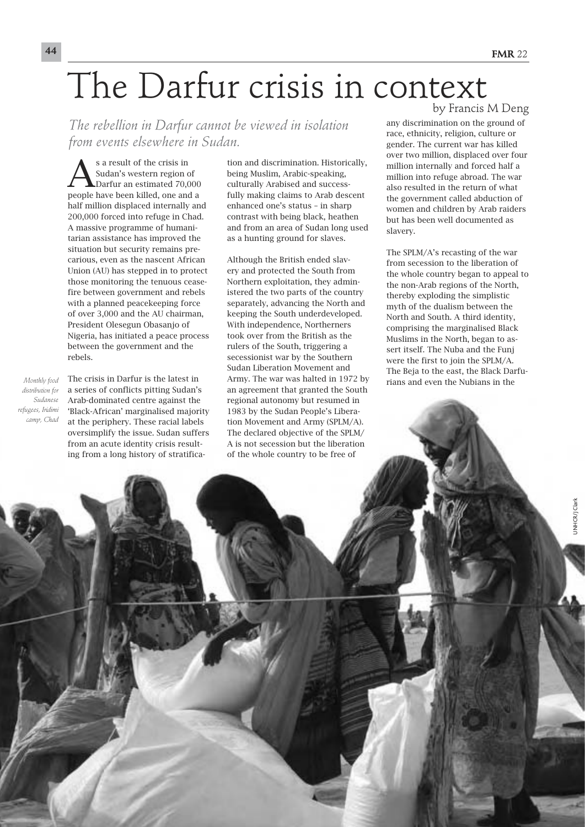## The Darfur crisis in context

*The rebellion in Darfur cannot be viewed in isolation from events elsewhere in Sudan.*

Sa result of the crisis in<br>
Sudan's western region of<br>
Darfur an estimated 70,000 Sudan's western region of people have been killed, one and a half million displaced internally and 200,000 forced into refuge in Chad. A massive programme of humanitarian assistance has improved the situation but security remains precarious, even as the nascent African Union (AU) has stepped in to protect those monitoring the tenuous ceasefire between government and rebels with a planned peacekeeping force of over 3,000 and the AU chairman, President Olesegun Obasanjo of Nigeria, has initiated a peace process between the government and the rebels.

*Monthly food distribution for Sudanese refugees, Iridimi camp, Chad* The crisis in Darfur is the latest in a series of conflicts pitting Sudan's Arab-dominated centre against the 'Black-African' marginalised majority at the periphery. These racial labels oversimplify the issue. Sudan suffers from an acute identity crisis resulting from a long history of stratifica-

tion and discrimination. Historically, being Muslim, Arabic-speaking, culturally Arabised and successfully making claims to Arab descent enhanced one's status – in sharp contrast with being black, heathen and from an area of Sudan long used as a hunting ground for slaves.

Although the British ended slavery and protected the South from Northern exploitation, they administered the two parts of the country separately, advancing the North and keeping the South underdeveloped. With independence, Northerners took over from the British as the rulers of the South, triggering a secessionist war by the Southern Sudan Liberation Movement and Army. The war was halted in 1972 by an agreement that granted the South regional autonomy but resumed in 1983 by the Sudan People's Liberation Movement and Army (SPLM/A). The declared objective of the SPLM/ A is not secession but the liberation of the whole country to be free of

by Francis M Deng

any discrimination on the ground of race, ethnicity, religion, culture or gender. The current war has killed over two million, displaced over four million internally and forced half a million into refuge abroad. The war also resulted in the return of what the government called abduction of women and children by Arab raiders but has been well documented as slavery.

The SPLM/A's recasting of the war from secession to the liberation of the whole country began to appeal to the non-Arab regions of the North, thereby exploding the simplistic myth of the dualism between the North and South. A third identity, comprising the marginalised Black Muslims in the North, began to assert itself. The Nuba and the Funj were the first to join the SPLM/A. The Beja to the east, the Black Darfurians and even the Nubians in the

UNHCR/J Clark

JNHCR/J Clark